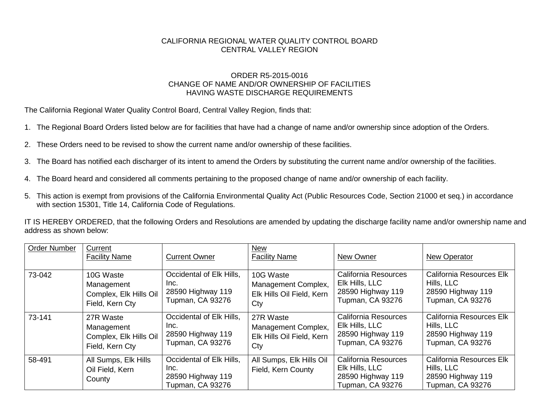## CALIFORNIA REGIONAL WATER QUALITY CONTROL BOARD CENTRAL VALLEY REGION

## ORDER R5-2015-0016 CHANGE OF NAME AND/OR OWNERSHIP OF FACILITIES HAVING WASTE DISCHARGE REQUIREMENTS

The California Regional Water Quality Control Board, Central Valley Region, finds that:

- 1. The Regional Board Orders listed below are for facilities that have had a change of name and/or ownership since adoption of the Orders.
- 2. These Orders need to be revised to show the current name and/or ownership of these facilities.
- 3. The Board has notified each discharger of its intent to amend the Orders by substituting the current name and/or ownership of the facilities.
- 4. The Board heard and considered all comments pertaining to the proposed change of name and/or ownership of each facility.
- 5. This action is exempt from provisions of the California Environmental Quality Act (Public Resources Code, Section 21000 et seq.) in accordance with section 15301, Title 14, California Code of Regulations.

IT IS HEREBY ORDERED, that the following Orders and Resolutions are amended by updating the discharge facility name and/or ownership name and address as shown below:

| <b>Order Number</b> | Current<br><b>Facility Name</b>                   | <b>Current Owner</b>                                                             | <b>New</b><br><b>Facility Name</b>             | New Owner                                                                                     | New Operator                                                                           |
|---------------------|---------------------------------------------------|----------------------------------------------------------------------------------|------------------------------------------------|-----------------------------------------------------------------------------------------------|----------------------------------------------------------------------------------------|
| 73-042              | 10G Waste                                         | Occidental of Elk Hills,                                                         | 10G Waste                                      | <b>California Resources</b>                                                                   | California Resources Elk                                                               |
|                     | Management                                        | Inc.                                                                             | Management Complex,                            | Elk Hills, LLC                                                                                | Hills, LLC                                                                             |
|                     | Complex, Elk Hills Oil                            | 28590 Highway 119                                                                | Elk Hills Oil Field, Kern                      | 28590 Highway 119                                                                             | 28590 Highway 119                                                                      |
|                     | Field, Kern Cty                                   | Tupman, CA 93276                                                                 | Cty                                            | Tupman, CA 93276                                                                              | <b>Tupman, CA 93276</b>                                                                |
| 73-141              | 27R Waste                                         | Occidental of Elk Hills,                                                         | 27R Waste                                      | California Resources                                                                          | California Resources Elk                                                               |
|                     | Management                                        | Inc.                                                                             | Management Complex,                            | Elk Hills, LLC                                                                                | Hills, LLC                                                                             |
|                     | Complex, Elk Hills Oil                            | 28590 Highway 119                                                                | Elk Hills Oil Field, Kern                      | 28590 Highway 119                                                                             | 28590 Highway 119                                                                      |
|                     | Field, Kern Cty                                   | Tupman, CA 93276                                                                 | Cty                                            | Tupman, CA 93276                                                                              | <b>Tupman, CA 93276</b>                                                                |
| 58-491              | All Sumps, Elk Hills<br>Oil Field, Kern<br>County | Occidental of Elk Hills,<br>Inc.<br>28590 Highway 119<br><b>Tupman, CA 93276</b> | All Sumps, Elk Hills Oil<br>Field, Kern County | <b>California Resources</b><br>Elk Hills, LLC<br>28590 Highway 119<br><b>Tupman, CA 93276</b> | California Resources Elk<br>Hills, LLC<br>28590 Highway 119<br><b>Tupman, CA 93276</b> |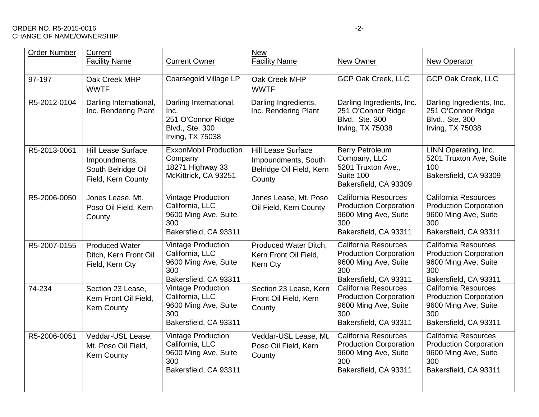## ORDER NO. R5-2015-0016 -2-CHANGE OF NAME/OWNERSHIP

| <b>Order Number</b> | Current<br><b>Facility Name</b>                                                        | <b>Current Owner</b>                                                                                 | <b>New</b><br><b>Facility Name</b>                                                     | New Owner                                                                                                            | <b>New Operator</b>                                                                                           |
|---------------------|----------------------------------------------------------------------------------------|------------------------------------------------------------------------------------------------------|----------------------------------------------------------------------------------------|----------------------------------------------------------------------------------------------------------------------|---------------------------------------------------------------------------------------------------------------|
| 97-197              | Oak Creek MHP<br><b>WWTF</b>                                                           | Coarsegold Village LP                                                                                | Oak Creek MHP<br><b>WWTF</b>                                                           | GCP Oak Creek, LLC                                                                                                   | GCP Oak Creek, LLC                                                                                            |
| R5-2012-0104        | Darling International,<br>Inc. Rendering Plant                                         | Darling International,<br>Inc.<br>251 O'Connor Ridge<br>Blvd., Ste. 300<br>Irving, TX 75038          | Darling Ingredients,<br>Inc. Rendering Plant                                           | Darling Ingredients, Inc.<br>251 O'Connor Ridge<br>Blvd., Ste. 300<br>Irving, TX 75038                               | Darling Ingredients, Inc.<br>251 O'Connor Ridge<br>Blvd., Ste. 300<br>Irving, TX 75038                        |
| R5-2013-0061        | <b>Hill Lease Surface</b><br>Impoundments,<br>South Belridge Oil<br>Field, Kern County | <b>ExxonMobil Production</b><br>Company<br>18271 Highway 33<br>McKittrick, CA 93251                  | <b>Hill Lease Surface</b><br>Impoundments, South<br>Belridge Oil Field, Kern<br>County | <b>Berry Petroleum</b><br>Company, LLC<br>5201 Truxton Ave.,<br>Suite 100<br>Bakersfield, CA 93309                   | LINN Operating, Inc.<br>5201 Truxton Ave, Suite<br>100<br>Bakersfield, CA 93309                               |
| R5-2006-0050        | Jones Lease, Mt.<br>Poso Oil Field, Kern<br>County                                     | <b>Vintage Production</b><br>California, LLC<br>9600 Ming Ave, Suite<br>300<br>Bakersfield, CA 93311 | Jones Lease, Mt. Poso<br>Oil Field, Kern County                                        | California Resources<br><b>Production Corporation</b><br>9600 Ming Ave, Suite<br>300<br>Bakersfield, CA 93311        | California Resources<br><b>Production Corporation</b><br>9600 Ming Ave, Suite<br>300<br>Bakersfield, CA 93311 |
| R5-2007-0155        | <b>Produced Water</b><br>Ditch, Kern Front Oil<br>Field, Kern Cty                      | <b>Vintage Production</b><br>California, LLC<br>9600 Ming Ave, Suite<br>300<br>Bakersfield, CA 93311 | Produced Water Ditch,<br>Kern Front Oil Field,<br>Kern Cty                             | California Resources<br><b>Production Corporation</b><br>9600 Ming Ave, Suite<br>300<br>Bakersfield, CA 93311        | California Resources<br><b>Production Corporation</b><br>9600 Ming Ave, Suite<br>300<br>Bakersfield, CA 93311 |
| 74-234              | Section 23 Lease,<br>Kern Front Oil Field,<br><b>Kern County</b>                       | <b>Vintage Production</b><br>California, LLC<br>9600 Ming Ave, Suite<br>300<br>Bakersfield, CA 93311 | Section 23 Lease, Kern<br>Front Oil Field, Kern<br>County                              | <b>California Resources</b><br><b>Production Corporation</b><br>9600 Ming Ave, Suite<br>300<br>Bakersfield, CA 93311 | California Resources<br><b>Production Corporation</b><br>9600 Ming Ave, Suite<br>300<br>Bakersfield, CA 93311 |
| R5-2006-0051        | Veddar-USL Lease,<br>Mt. Poso Oil Field,<br><b>Kern County</b>                         | <b>Vintage Production</b><br>California, LLC<br>9600 Ming Ave, Suite<br>300<br>Bakersfield, CA 93311 | Veddar-USL Lease, Mt.<br>Poso Oil Field, Kern<br>County                                | California Resources<br><b>Production Corporation</b><br>9600 Ming Ave, Suite<br>300<br>Bakersfield, CA 93311        | California Resources<br><b>Production Corporation</b><br>9600 Ming Ave, Suite<br>300<br>Bakersfield, CA 93311 |